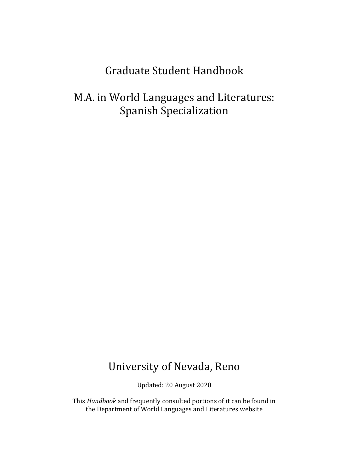# Graduate Student Handbook

M.A. in World Languages and Literatures: Spanish Specialization

# University of Nevada, Reno

Updated: 20 August 2020

 This *Handbook* and frequently consulted portions of it can be found in the Department of World Languages and Literatures website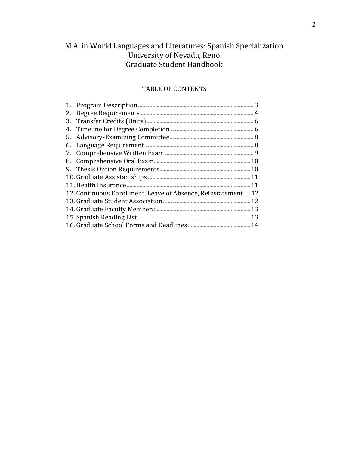# M.A. in World Languages and Literatures: Spanish Specialization University of Nevada, Reno Graduate Student Handbook

### TABLE OF CONTENTS

| 2. |                                                               |
|----|---------------------------------------------------------------|
| 3. |                                                               |
|    |                                                               |
|    |                                                               |
|    |                                                               |
|    |                                                               |
|    |                                                               |
|    |                                                               |
|    |                                                               |
|    | .11                                                           |
|    | 12. Continuous Enrollment, Leave of Absence, Reinstatement 12 |
|    |                                                               |
|    |                                                               |
|    |                                                               |
|    |                                                               |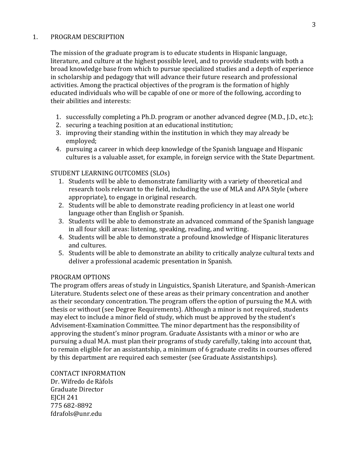## 1. PROGRAM DESCRIPTION

 The mission of the graduate program is to educate students in Hispanic language, literature, and culture at the highest possible level, and to provide students with both a broad knowledge base from which to pursue specialized studies and a depth of experience in scholarship and pedagogy that will advance their future research and professional activities. Among the practical objectives of the program is the formation of highly educated individuals who will be capable of one or more of the following, according to their abilities and interests:

- 1. successfully completing a Ph.D. program or another advanced degree (M.D., J.D., etc.);
- 2. securing a teaching position at an educational institution;
- 3. improving their standing within the institution in which they may already be employed;
- 4. pursuing a career in which deep knowledge of the Spanish language and Hispanic cultures is a valuable asset, for example, in foreign service with the State Department.

# STUDENT LEARNING OUTCOMES (SLOs)

- 1. Students will be able to demonstrate familiarity with a variety of theoretical and research tools relevant to the field, including the use of MLA and APA Style (where appropriate), to engage in original research.
- 2. Students will be able to demonstrate reading proficiency in at least one world language other than English or Spanish.
- 3. Students will be able to demonstrate an advanced command of the Spanish language in all four skill areas: listening, speaking, reading, and writing.
- 4. Students will be able to demonstrate a profound knowledge of Hispanic literatures and cultures.
- 5. Students will be able to demonstrate an ability to critically analyze cultural texts and deliver a professional academic presentation in Spanish.

## PROGRAM OPTIONS

 The program offers areas of study in Linguistics, Spanish Literature, and Spanish-American Literature. Students select one of these areas as their primary concentration and another as their secondary concentration. The program offers the option of pursuing the M.A. with thesis or without (see Degree Requirements). Although a minor is not required, students may elect to include a minor field of study, which must be approved by the student's Advisement-Examination Committee. The minor department has the responsibility of approving the student's minor program. Graduate Assistants with a minor or who are pursuing a dual M.A. must plan their programs of study carefully, taking into account that, to remain eligible for an assistantship, a minimum of 6 graduate credits in courses offered by this department are required each semester (see Graduate Assistantships).

# CONTACT INFORMATION

 Dr. Wifredo de Ràfols Graduate Director EJCH 241 775 682-8892 [fdrafols@unr.edu](mailto:fdrafols@unr.edu)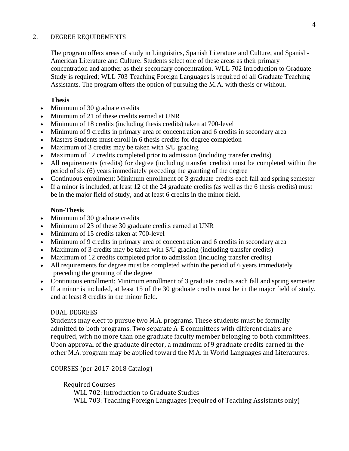## 2. DEGREE REQUIREMENTS

The program offers areas of study in Linguistics, Spanish Literature and Culture, and Spanish-American Literature and Culture. Students select one of these areas as their primary concentration and another as their secondary concentration. WLL 702 Introduction to Graduate Study is required; WLL 703 Teaching Foreign Languages is required of all Graduate Teaching Assistants. The program offers the option of pursuing the M.A. with thesis or without.

## **Thesis**

- Minimum of 30 graduate credits
- Minimum of 21 of these credits earned at UNR
- Minimum of 18 credits (including thesis credits) taken at 700-level
- Minimum of 9 credits in primary area of concentration and 6 credits in secondary area
- Masters Students must enroll in 6 thesis credits for degree completion
- Maximum of 3 credits may be taken with S/U grading
- Maximum of 12 credits completed prior to admission (including transfer credits)
- • All requirements (credits) for degree (including transfer credits) must be completed within the period of six (6) years immediately preceding the granting of the degree
- Continuous enrollment: Minimum enrollment of 3 graduate credits each fall and spring semester
- If a minor is included, at least 12 of the 24 graduate credits (as well as the 6 thesis credits) must be in the major field of study, and at least 6 credits in the minor field.

# **Non-Thesis**

- Minimum of 30 graduate credits
- Minimum of 23 of these 30 graduate credits earned at UNR
- Minimum of 15 credits taken at 700-level
- Minimum of 9 credits in primary area of concentration and 6 credits in secondary area
- Maximum of 3 credits may be taken with S/U grading (including transfer credits)
- Maximum of 12 credits completed prior to admission (including transfer credits)
- All requirements for degree must be completed within the period of 6 years immediately preceding the granting of the degree
- Continuous enrollment: Minimum enrollment of 3 graduate credits each fall and spring semester
- • If a minor is included, at least 15 of the 30 graduate credits must be in the major field of study, and at least 8 credits in the minor field.

## DUAL DEGREES

 Students may elect to pursue two M.A. programs. These students must be formally admitted to both programs. Two separate A-E committees with different chairs are required, with no more than one graduate faculty member belonging to both committees. Upon approval of the graduate director, a maximum of 9 graduate credits earned in the other M.A. program may be applied toward the M.A. in World Languages and Literatures.

COURSES (per 2017-2018 Catalog)

Required Courses

 WLL 702: Introduction to Graduate Studies WLL 703: Teaching Foreign Languages (required of Teaching Assistants only)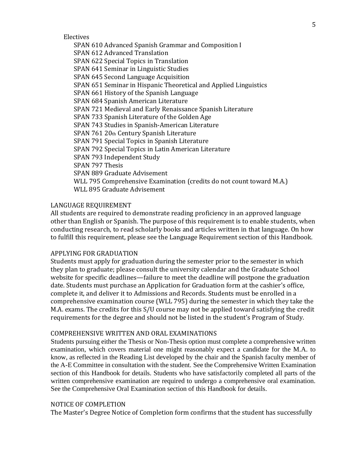Electives

 SPAN 610 Advanced Spanish Grammar and Composition I SPAN 612 Advanced Translation SPAN 622 Special Topics in Translation SPAN 641 Seminar in Linguistic Studies SPAN 645 Second Language Acquisition SPAN 651 Seminar in Hispanic Theoretical and Applied Linguistics SPAN 661 History of the Spanish Language SPAN 684 Spanish American Literature SPAN 721 Medieval and Early Renaissance Spanish Literature SPAN 733 Spanish Literature of the Golden Age SPAN 743 Studies in Spanish-American Literature SPAN 761 20th Century Spanish Literature SPAN 791 Special Topics in Spanish Literature SPAN 792 Special Topics in Latin American Literature SPAN 793 Independent Study SPAN 797 Thesis SPAN 889 Graduate Advisement WLL 795 Comprehensive Examination (credits do not count toward M.A.) WLL 895 Graduate Advisement

#### LANGUAGE REQUIREMENT

 All students are required to demonstrate reading proficiency in an approved language other than English or Spanish. The purpose of this requirement is to enable students, when conducting research, to read scholarly books and articles written in that language. On how to fulfill this requirement, please see the Language Requirement section of this Handbook.

## APPLYING FOR GRADUATION

 Students must apply for graduation during the semester prior to the semester in which they plan to graduate; please consult the university calendar and the Graduate School website for specific deadlines—failure to meet the deadline will postpone the graduation date. Students must purchase an Application for Graduation form at the cashier's office, complete it, and deliver it to Admissions and Records. Students must be enrolled in a comprehensive examination course (WLL 795) during the semester in which they take the M.A. exams. The credits for this S/U course may not be applied toward satisfying the credit requirements for the degree and should not be listed in the student's Program of Study.

#### COMPREHENSIVE WRITTEN AND ORAL EXAMINATIONS

 Students pursuing either the Thesis or Non-Thesis option must complete a comprehensive written examination, which covers material one might reasonably expect a candidate for the M.A. to the A-E Committee in consultation with the student. See the Comprehensive Written Examination section of this Handbook for details. Students who have satisfactorily completed all parts of the written comprehensive examination are required to undergo a comprehensive oral examination. know, as reflected in the Reading List developed by the chair and the Spanish faculty member of See the Comprehensive Oral Examination section of this Handbook for details.

#### NOTICE OF COMPLETION

The Master's Degree Notice of Completion form confirms that the student has successfully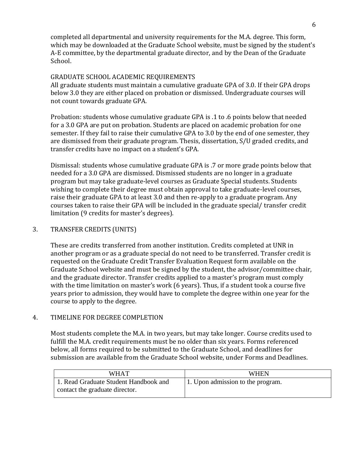completed all departmental and university requirements for the M.A. degree. This form, which may be downloaded at the Graduate School website, must be signed by the student's A-E committee, by the departmental graduate director, and by the Dean of the Graduate School.

# GRADUATE SCHOOL ACADEMIC REQUIREMENTS

 All graduate students must maintain a cumulative graduate GPA of 3.0. If their GPA drops below 3.0 they are either placed on probation or dismissed. Undergraduate courses will not count towards graduate GPA.

 Probation: students whose cumulative graduate GPA is .1 to .6 points below that needed for a 3.0 GPA are put on probation. Students are placed on academic probation for one semester. If they fail to raise their cumulative GPA to 3.0 by the end of one semester, they are dismissed from their graduate program. Thesis, dissertation, S/U graded credits, and transfer credits have no impact on a student's GPA.

 Dismissal: students whose cumulative graduate GPA is .7 or more grade points below that needed for a 3.0 GPA are dismissed. Dismissed students are no longer in a graduate program but may take graduate-level courses as Graduate Special students. Students wishing to complete their degree must obtain approval to take graduate-level courses, raise their graduate GPA to at least 3.0 and then re-apply to a graduate program. Any courses taken to raise their GPA will be included in the graduate special/ transfer credit limitation (9 credits for master's degrees).

# 3. TRANSFER CREDITS (UNITS)

 These are credits transferred from another institution. Credits completed at UNR in another program or as a graduate special do not need to be transferred. Transfer credit is requested on the Graduate Credit Transfer Evaluation Request form available on the Graduate School website and must be signed by the student, the advisor/committee chair, and the graduate director. Transfer credits applied to a master's program must comply with the time limitation on master's work (6 years). Thus, if a student took a course five years prior to admission, they would have to complete the degree within one year for the course to apply to the degree.

# 4. TIMELINE FOR DEGREE COMPLETION

 Most students complete the M.A. in two years, but may take longer. Course credits used to fulfill the M.A. credit requirements must be no older than six years. Forms referenced below, all forms required to be submitted to the Graduate School, and deadlines for submission are available from the Graduate School website, under Forms and Deadlines.

| WHAT                                                                    | <b>WHEN</b>                       |
|-------------------------------------------------------------------------|-----------------------------------|
| 1. Read Graduate Student Handbook and<br>contact the graduate director. | 1. Upon admission to the program. |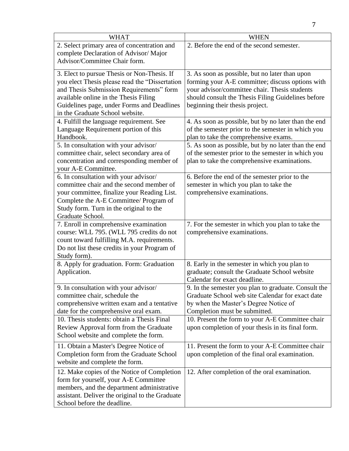| <b>WHAT</b>                                                                         | <b>WHEN</b>                                                                                 |
|-------------------------------------------------------------------------------------|---------------------------------------------------------------------------------------------|
| 2. Select primary area of concentration and                                         | 2. Before the end of the second semester.                                                   |
| complete Declaration of Advisor/Major                                               |                                                                                             |
| Advisor/Committee Chair form.                                                       |                                                                                             |
| 3. Elect to pursue Thesis or Non-Thesis. If                                         | 3. As soon as possible, but no later than upon                                              |
| you elect Thesis please read the "Dissertation                                      | forming your A-E committee; discuss options with                                            |
| and Thesis Submission Requirements" form                                            | your advisor/committee chair. Thesis students                                               |
| available online in the Thesis Filing                                               | should consult the Thesis Filing Guidelines before                                          |
| Guidelines page, under Forms and Deadlines                                          | beginning their thesis project.                                                             |
| in the Graduate School website.                                                     |                                                                                             |
| 4. Fulfill the language requirement. See                                            | 4. As soon as possible, but by no later than the end                                        |
| Language Requirement portion of this<br>Handbook.                                   | of the semester prior to the semester in which you<br>plan to take the comprehensive exams. |
| 5. In consultation with your advisor/                                               | 5. As soon as possible, but by no later than the end                                        |
| committee chair, select secondary area of                                           | of the semester prior to the semester in which you                                          |
| concentration and corresponding member of                                           | plan to take the comprehensive examinations.                                                |
| your A-E Committee.                                                                 |                                                                                             |
| 6. In consultation with your advisor/                                               | 6. Before the end of the semester prior to the                                              |
| committee chair and the second member of                                            | semester in which you plan to take the                                                      |
| your committee, finalize your Reading List.                                         | comprehensive examinations.                                                                 |
| Complete the A-E Committee/ Program of                                              |                                                                                             |
| Study form. Turn in the original to the<br>Graduate School.                         |                                                                                             |
| 7. Enroll in comprehensive examination                                              | 7. For the semester in which you plan to take the                                           |
| course: WLL 795. (WLL 795 credits do not                                            | comprehensive examinations.                                                                 |
| count toward fulfilling M.A. requirements.                                          |                                                                                             |
| Do not list these credits in your Program of                                        |                                                                                             |
| Study form).                                                                        |                                                                                             |
| 8. Apply for graduation. Form: Graduation                                           | 8. Early in the semester in which you plan to                                               |
| Application.                                                                        | graduate; consult the Graduate School website                                               |
|                                                                                     | Calendar for exact deadline.                                                                |
| 9. In consultation with your advisor/                                               | 9. In the semester you plan to graduate. Consult the                                        |
| committee chair, schedule the                                                       | Graduate School web site Calendar for exact date                                            |
| comprehensive written exam and a tentative<br>date for the comprehensive oral exam. | by when the Master's Degree Notice of<br>Completion must be submitted.                      |
| 10. Thesis students: obtain a Thesis Final                                          | 10. Present the form to your A-E Committee chair                                            |
| Review Approval form from the Graduate                                              | upon completion of your thesis in its final form.                                           |
| School website and complete the form.                                               |                                                                                             |
| 11. Obtain a Master's Degree Notice of                                              | 11. Present the form to your A-E Committee chair                                            |
| Completion form from the Graduate School                                            | upon completion of the final oral examination.                                              |
| website and complete the form.                                                      |                                                                                             |
| 12. Make copies of the Notice of Completion                                         | 12. After completion of the oral examination.                                               |
| form for yourself, your A-E Committee                                               |                                                                                             |
| members, and the department administrative                                          |                                                                                             |
| assistant. Deliver the original to the Graduate                                     |                                                                                             |
| School before the deadline.                                                         |                                                                                             |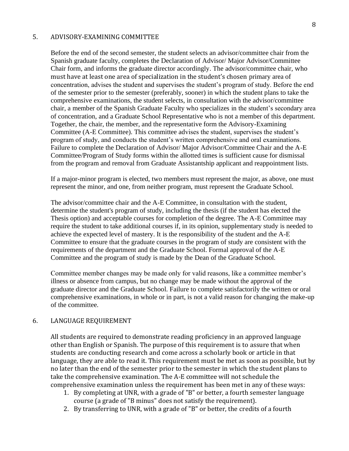#### 5. ADVISORY-EXAMINING COMMITTEE

 must have at least one area of specialization in the student's chosen primary area of Before the end of the second semester, the student selects an advisor/committee chair from the Spanish graduate faculty, completes the Declaration of Advisor/ Major Advisor/Committee Chair form, and informs the graduate director accordingly. The advisor/committee chair, who concentration, advises the student and supervises the student's program of study. Before the end of the semester prior to the semester (preferably, sooner) in which the student plans to take the comprehensive examinations, the student selects, in consultation with the advisor/committee chair, a member of the Spanish Graduate Faculty who specializes in the student's secondary area of concentration, and a Graduate School Representative who is not a member of this department. Together, the chair, the member, and the representative form the Advisory-Examining Committee (A-E Committee). This committee advises the student, supervises the student's program of study, and conducts the student's written comprehensive and oral examinations. Failure to complete the Declaration of Advisor/ Major Advisor/Committee Chair and the A-E Committee/Program of Study forms within the allotted times is sufficient cause for dismissal from the program and removal from Graduate Assistantship applicant and reappointment lists.

 If a major-minor program is elected, two members must represent the major, as above, one must represent the minor, and one, from neither program, must represent the Graduate School.

 require the student to take additional courses if, in its opinion, supplementary study is needed to The advisor/committee chair and the A-E Committee, in consultation with the student, determine the student's program of study, including the thesis (if the student has elected the Thesis option) and acceptable courses for completion of the degree. The A-E Committee may achieve the expected level of mastery. It is the responsibility of the student and the A-E Committee to ensure that the graduate courses in the program of study are consistent with the requirements of the department and the Graduate School. Formal approval of the A-E Committee and the program of study is made by the Dean of the Graduate School.

Committee member changes may be made only for valid reasons, like a committee member's illness or absence from campus, but no change may be made without the approval of the graduate director and the Graduate School. Failure to complete satisfactorily the written or oral comprehensive examinations, in whole or in part, is not a valid reason for changing the make-up of the committee.

## 6. LANGUAGE REQUIREMENT

 All students are required to demonstrate reading proficiency in an approved language other than English or Spanish. The purpose of this requirement is to assure that when students are conducting research and come across a scholarly book or article in that language, they are able to read it. This requirement must be met as soon as possible, but by no later than the end of the semester prior to the semester in which the student plans to take the comprehensive examination. The A-E committee will not schedule the comprehensive examination unless the requirement has been met in any of these ways:

- 1. By completing at UNR, with a grade of "B" or better, a fourth semester language course (a grade of "B minus" does not satisfy the requirement).
- 2. By transferring to UNR, with a grade of "B" or better, the credits of a fourth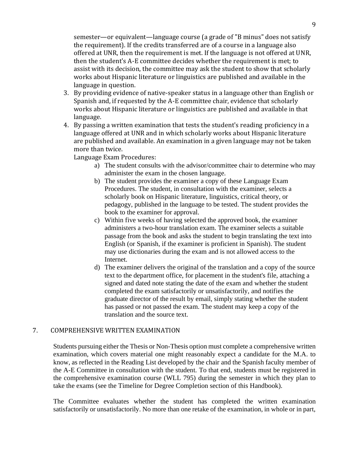9

 semester—or equivalent—language course (a grade of "B minus" does not satisfy the requirement). If the credits transferred are of a course in a language also offered at UNR, then the requirement is met. If the language is not offered at UNR, then the student's A-E committee decides whether the requirement is met; to assist with its decision, the committee may ask the student to show that scholarly works about Hispanic literature or linguistics are published and available in the language in question.

- 3. By providing evidence of native-speaker status in a language other than English or Spanish and, if requested by the A-E committee chair, evidence that scholarly works about Hispanic literature or linguistics are published and available in that language.
- 4. By passing a written examination that tests the student's reading proficiency in a language offered at UNR and in which scholarly works about Hispanic literature are published and available. An examination in a given language may not be taken more than twice.

Language Exam Procedures:

- a) The student consults with the advisor/committee chair to determine who may administer the exam in the chosen language.
- pedagogy, published in the language to be tested. The student provides the b) The student provides the examiner a copy of these Language Exam Procedures. The student, in consultation with the examiner, selects a scholarly book on Hispanic literature, linguistics, critical theory, or book to the examiner for approval.
- passage from the book and asks the student to begin translating the text into c) Within five weeks of having selected the approved book, the examiner administers a two-hour translation exam. The examiner selects a suitable English (or Spanish, if the examiner is proficient in Spanish). The student may use dictionaries during the exam and is not allowed access to the Internet.
- signed and dated note stating the date of the exam and whether the student d) The examiner delivers the original of the translation and a copy of the source text to the department office, for placement in the student's file, attaching a completed the exam satisfactorily or unsatisfactorily, and notifies the graduate director of the result by email, simply stating whether the student has passed or not passed the exam. The student may keep a copy of the translation and the source text.

# 7. COMPREHENSIVE WRITTEN EXAMINATION

 Students pursuing either the Thesis or Non-Thesis option must complete a comprehensive written examination, which covers material one might reasonably expect a candidate for the M.A. to the A-E Committee in consultation with the student. To that end, students must be registered in the comprehensive examination course (WLL 795) during the semester in which they plan to know, as reflected in the Reading List developed by the chair and the Spanish faculty member of take the exams (see the Timeline for Degree Completion section of this Handbook).

 The Committee evaluates whether the student has completed the written examination satisfactorily or unsatisfactorily. No more than one retake of the examination, in whole or in part,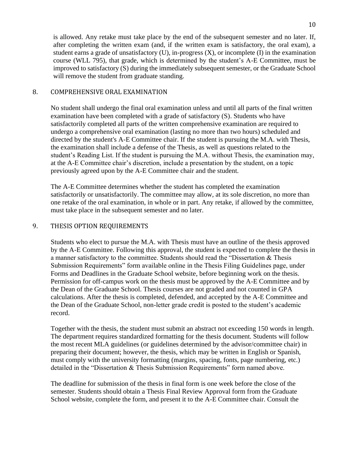is allowed. Any retake must take place by the end of the subsequent semester and no later. If, after completing the written exam (and, if the written exam is satisfactory, the oral exam), a student earns a grade of unsatisfactory (U), in-progress (X), or incomplete (I) in the examination course (WLL 795), that grade, which is determined by the student's A-E Committee, must be improved to satisfactory (S) during the immediately subsequent semester, or the Graduate School will remove the student from graduate standing.

# 8. COMPREHENSIVE ORAL EXAMINATION

 at the A-E Committee chair's discretion, include a presentation by the student, on a topic No student shall undergo the final oral examination unless and until all parts of the final written examination have been completed with a grade of satisfactory (S). Students who have satisfactorily completed all parts of the written comprehensive examination are required to undergo a comprehensive oral examination (lasting no more than two hours) scheduled and directed by the student's A-E Committee chair. If the student is pursuing the M.A. with Thesis, the examination shall include a defense of the Thesis, as well as questions related to the student's Reading List. If the student is pursuing the M.A. without Thesis, the examination may, previously agreed upon by the A-E Committee chair and the student.

The A-E Committee determines whether the student has completed the examination satisfactorily or unsatisfactorily. The committee may allow, at its sole discretion, no more than one retake of the oral examination, in whole or in part. Any retake, if allowed by the committee, must take place in the subsequent semester and no later.

# 9. THESIS OPTION REQUIREMENTS

Students who elect to pursue the M.A. with Thesis must have an outline of the thesis approved by the A-E Committee. Following this approval, the student is expected to complete the thesis in a manner satisfactory to the committee. Students should read the "Dissertation & Thesis Submission Requirements" form available online in the Thesis Filing Guidelines page, under Forms and Deadlines in the Graduate School website, before beginning work on the thesis. Permission for off-campus work on the thesis must be approved by the A-E Committee and by the Dean of the Graduate School. Thesis courses are not graded and not counted in GPA calculations. After the thesis is completed, defended, and accepted by the A-E Committee and the Dean of the Graduate School, non-letter grade credit is posted to the student's academic record.

Together with the thesis, the student must submit an abstract not exceeding 150 words in length. The department requires standardized formatting for the thesis document. Students will follow the most recent MLA guidelines (or guidelines determined by the advisor/committee chair) in preparing their document; however, the thesis, which may be written in English or Spanish, must comply with the university formatting (margins, spacing, fonts, page numbering, etc.) detailed in the "Dissertation & Thesis Submission Requirements" form named above.

 School website, complete the form, and present it to the A-E Committee chair. Consult the The deadline for submission of the thesis in final form is one week before the close of the semester. Students should obtain a Thesis Final Review Approval form from the Graduate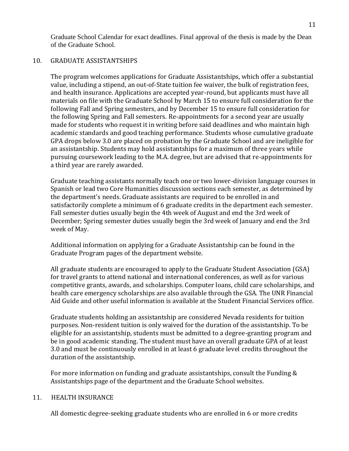Graduate School Calendar for exact deadlines. Final approval of the thesis is made by the Dean of the Graduate School.

# 10. GRADUATE ASSISTANTSHIPS

 The program welcomes applications for Graduate Assistantships, which offer a substantial value, including a stipend, an out-of-State tuition fee waiver, the bulk of registration fees, and health insurance. Applications are accepted year-round, but applicants must have all materials on file with the Graduate School by March 15 to ensure full consideration for the following Fall and Spring semesters, and by December 15 to ensure full consideration for the following Spring and Fall semesters. Re-appointments for a second year are usually made for students who request it in writing before said deadlines and who maintain high academic standards and good teaching performance. Students whose cumulative graduate GPA drops below 3.0 are placed on probation by the Graduate School and are ineligible for an assistantship. Students may hold assistantships for a maximum of three years while pursuing coursework leading to the M.A. degree, but are advised that re-appointments for a third year are rarely awarded.

 Graduate teaching assistants normally teach one or two lower-division language courses in Spanish or lead two Core Humanities discussion sections each semester, as determined by the department's needs. Graduate assistants are required to be enrolled in and satisfactorily complete a minimum of 6 graduate credits in the department each semester. Fall semester duties usually begin the 4th week of August and end the 3rd week of December; Spring semester duties usually begin the 3rd week of January and end the 3rd week of May.

 Additional information on applying for a Graduate Assistantship can be found in the Graduate Program pages of the department website.

 All graduate students are encouraged to apply to the Graduate Student Association (GSA) for travel grants to attend national and international conferences, as well as for various competitive grants, awards, and scholarships. Computer loans, child care scholarships, and health care emergency scholarships are also available through the GSA. The UNR Financial Aid Guide and other useful information is available at the Student Financial Services office.

 Graduate students holding an assistantship are considered Nevada residents for tuition purposes. Non-resident tuition is only waived for the duration of the assistantship. To be eligible for an assistantship, students must be admitted to a degree-granting program and be in good academic standing. The student must have an overall graduate GPA of at least 3.0 and must be continuously enrolled in at least 6 graduate level credits throughout the duration of the assistantship.

 For more information on funding and graduate assistantships, consult the Funding & Assistantships page of the department and the Graduate School websites.

# 11. HEALTH INSURANCE

All domestic degree-seeking graduate students who are enrolled in 6 or more credits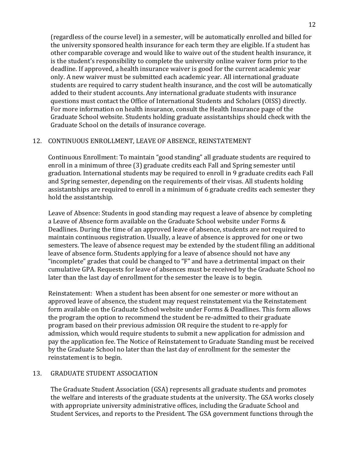(regardless of the course level) in a semester, will be automatically enrolled and billed for the university sponsored health insurance for each term they are eligible. If a student has other comparable coverage and would like to waive out of the student health insurance, it is the student's responsibility to complete the university online waiver form prior to the deadline. If approved, a health insurance waiver is good for the current academic year only. A new waiver must be submitted each academic year. All international graduate students are required to carry student health insurance, and the cost will be automatically added to their student accounts. Any international graduate students with insurance questions must contact the Office of International Students and Scholars (OISS) directly. For more information on health insurance, consult the Health Insurance page of the Graduate School website. Students holding graduate assistantships should check with the Graduate School on the details of insurance coverage.

# 12. CONTINUOUS ENROLLMENT, LEAVE OF ABSENCE, REINSTATEMENT

 Continuous Enrollment: To maintain "good standing" all graduate students are required to enroll in a minimum of three (3) graduate credits each Fall and Spring semester until graduation. International students may be required to enroll in 9 graduate credits each Fall and Spring semester, depending on the requirements of their visas. All students holding assistantships are required to enroll in a minimum of 6 graduate credits each semester they hold the assistantship.

 Leave of Absence: Students in good standing may request a leave of absence by completing a Leave of Absence form available on the Graduate School website under Forms & Deadlines. During the time of an approved leave of absence, students are not required to maintain continuous registration. Usually, a leave of absence is approved for one or two semesters. The leave of absence request may be extended by the student filing an additional leave of absence form. Students applying for a leave of absence should not have any "incomplete" grades that could be changed to "F" and have a detrimental impact on their cumulative GPA. Requests for leave of absences must be received by the Graduate School no later than the last day of enrollment for the semester the leave is to begin.

 Reinstatement: When a student has been absent for one semester or more without an approved leave of absence, the student may request reinstatement via the Reinstatement form available on the Graduate School website under Forms & Deadlines. This form allows the program the option to recommend the student be re-admitted to their graduate program based on their previous admission OR require the student to re-apply for admission, which would require students to submit a new application for admission and pay the application fee. The Notice of Reinstatement to Graduate Standing must be received by the Graduate School no later than the last day of enrollment for the semester the reinstatement is to begin.

## 13. GRADUATE STUDENT ASSOCIATION

 The Graduate Student Association (GSA) represents all graduate students and promotes the welfare and interests of the graduate students at the university. The GSA works closely with appropriate university administrative offices, including the Graduate School and Student Services, and reports to the President. The GSA government functions through the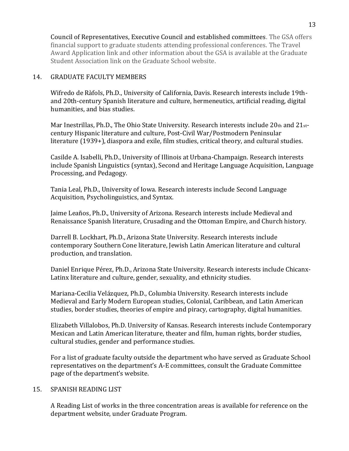Council of Representatives, Executive Council and established committees. The GSA offers financial support to graduate students attending professional conferences. The Travel Award Application link and other information about the GSA is available at the Graduate Student Association link on the Graduate School website.

# 14. GRADUATE FACULTY MEMBERS

 Wifredo de Ràfols, Ph.D., University of California, Davis. Research interests include 19th- humanities, and bias studies. and 20th-century Spanish literature and culture, hermeneutics, artificial reading, digital

Mar Inestrillas, Ph.D., The Ohio State University. Research interests include 20th and 21st- century Hispanic literature and culture, Post-Civil War/Postmodern Peninsular literature (1939+), diaspora and exile, film studies, critical theory, and cultural studies.

 Casilde A. Isabelli, Ph.D., University of Illinois at Urbana-Champaign. Research interests include Spanish Linguistics (syntax), Second and Heritage Language Acquisition, Language Processing, and Pedagogy.

 Tania Leal, Ph.D., University of Iowa. Research interests include Second Language Acquisition, Psycholinguistics, and Syntax.

 Jaime Leaños, Ph.D., University of Arizona. Research interests include Medieval and Renaissance Spanish literature, Crusading and the Ottoman Empire, and Church history.

 Darrell B. Lockhart, Ph.D., Arizona State University. Research interests include contemporary Southern Cone literature, Jewish Latin American literature and cultural production, and translation.

 Daniel Enrique Pérez, Ph.D., Arizona State University. Research interests include Chicanx-Latinx literature and culture, gender, sexuality, and ethnicity studies.

 Mariana-Cecilia Velázquez, Ph.D., Columbia University. Research interests include Medieval and Early Modern European studies, Colonial, Caribbean, and Latin American studies, border studies, theories of empire and piracy, cartography, digital humanities.

 Elizabeth Villalobos, Ph.D. University of Kansas. Research interests include Contemporary Mexican and Latin American literature, theater and film, human rights, border studies, cultural studies, gender and performance studies.

 For a list of graduate faculty outside the department who have served as Graduate School representatives on the department's A-E committees, consult the Graduate Committee page of the department's website.

# 15. SPANISH READING LIST

 A Reading List of works in the three concentration areas is available for reference on the department website, under Graduate Program.